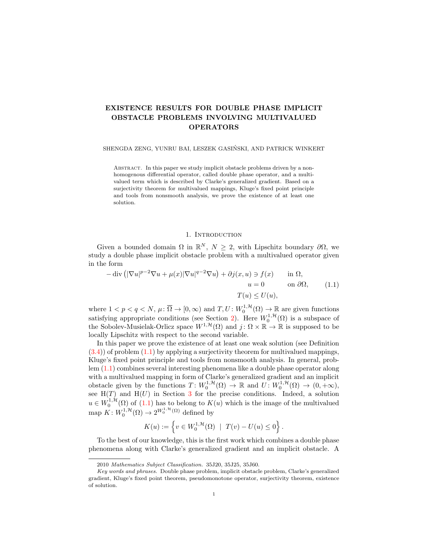# EXISTENCE RESULTS FOR DOUBLE PHASE IMPLICIT OBSTACLE PROBLEMS INVOLVING MULTIVALUED OPERATORS

#### SHENGDA ZENG, YUNRU BAI, LESZEK GASINSKI, AND PATRICK WINKERT ´

ABSTRACT. In this paper we study implicit obstacle problems driven by a nonhomogenous differential operator, called double phase operator, and a multivalued term which is described by Clarke's generalized gradient. Based on a surjectivity theorem for multivalued mappings, Kluge's fixed point principle and tools from nonsmooth analysis, we prove the existence of at least one solution.

### 1. INTRODUCTION

Given a bounded domain  $\Omega$  in  $\mathbb{R}^N$ ,  $N \geq 2$ , with Lipschitz boundary  $\partial \Omega$ , we study a double phase implicit obstacle problem with a multivalued operator given in the form

<span id="page-0-0"></span>
$$
-\operatorname{div} \left( |\nabla u|^{p-2} \nabla u + \mu(x) |\nabla u|^{q-2} \nabla u \right) + \partial j(x, u) \ni f(x) \qquad \text{in } \Omega, u = 0 \qquad \text{on } \partial \Omega, T(u) \le U(u), \tag{1.1}
$$

where  $1 < p < q < N$ ,  $\mu \colon \overline{\Omega} \to [0, \infty)$  and  $T, U \colon W_0^{1, \mathcal{H}}(\Omega) \to \mathbb{R}$  are given functions satisfying appropriate conditions (see Section [2\)](#page-1-0). Here  $W_0^{1, H}(\Omega)$  is a subspace of the Sobolev-Musielak-Orlicz space  $W^{1, \mathcal{H}}(\Omega)$  and  $j : \Omega \times \mathbb{R} \to \mathbb{R}$  is supposed to be locally Lipschitz with respect to the second variable.

In this paper we prove the existence of at least one weak solution (see Definition  $(3.4)$ ) of problem  $(1.1)$  by applying a surjectivity theorem for multivalued mappings, Kluge's fixed point principle and tools from nonsmooth analysis. In general, problem [\(1.1\)](#page-0-0) combines several interesting phenomena like a double phase operator along with a multivalued mapping in form of Clarke's generalized gradient and an implicit obstacle given by the functions  $T: W_0^{1,\mathcal{H}}(\Omega) \to \mathbb{R}$  and  $U: W_0^{1,\mathcal{H}}(\Omega) \to (0, +\infty)$ , see  $H(T)$  and  $H(U)$  in Section [3](#page-5-0) for the precise conditions. Indeed, a solution  $u \in W_0^{1,\mathcal{H}}(\Omega)$  of  $(1.1)$  has to belong to  $K(u)$  which is the image of the multivalued map  $K: W_0^{1,\mathcal{H}}(\Omega) \to 2^{W_0^{1,\mathcal{H}}(\Omega)}$  defined by

$$
K(u) := \left\{ v \in W_0^{1, \mathcal{H}}(\Omega) \ | \ T(v) - U(u) \le 0 \right\}.
$$

To the best of our knowledge, this is the first work which combines a double phase phenomena along with Clarke's generalized gradient and an implicit obstacle. A

<sup>2010</sup> Mathematics Subject Classification. 35J20, 35J25, 35J60.

Key words and phrases. Double phase problem, implicit obstacle problem, Clarke's generalized gradient, Kluge's fixed point theorem, pseudomonotone operator, surjectivity theorem, existence of solution.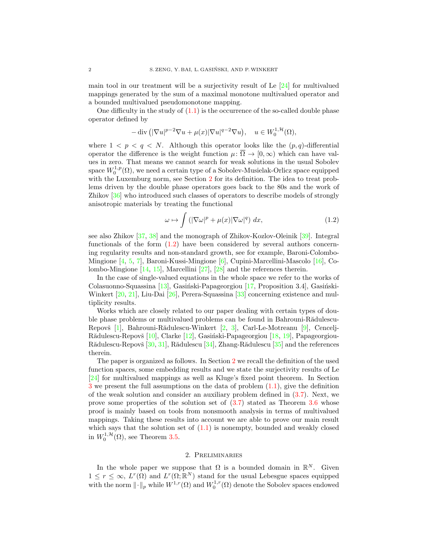main tool in our treatment will be a surjectivity result of Le [\[24\]](#page-16-0) for multivalued mappings generated by the sum of a maximal monotone multivalued operator and a bounded multivalued pseudomonotone mapping.

One difficulty in the study of  $(1.1)$  is the occurrence of the so-called double phase operator defined by

$$
-\operatorname{div}\left( |\nabla u|^{p-2}\nabla u + \mu(x)|\nabla u|^{q-2}\nabla u\right), \quad u \in W_0^{1,\mathcal{H}}(\Omega),
$$

where  $1 < p < q < N$ . Although this operator looks like the  $(p, q)$ -differential operator the difference is the weight function  $\mu: \overline{\Omega} \to [0, \infty)$  which can have values in zero. That means we cannot search for weak solutions in the usual Sobolev space  $W_0^{1,p}(\Omega)$ , we need a certain type of a Sobolev-Musielak-Orlicz space equipped with the Luxemburg norm, see Section [2](#page-1-0) for its definition. The idea to treat problems driven by the double phase operators goes back to the 80s and the work of Zhikov [\[36\]](#page-16-1) who introduced such classes of operators to describe models of strongly anisotropic materials by treating the functional

<span id="page-1-1"></span>
$$
\omega \mapsto \int \left( |\nabla \omega|^p + \mu(x) |\nabla \omega|^q \right) dx, \tag{1.2}
$$

see also Zhikov [\[37,](#page-16-2) [38\]](#page-16-3) and the monograph of Zhikov-Kozlov-Oleinik [\[39\]](#page-16-4). Integral functionals of the form [\(1.2\)](#page-1-1) have been considered by several authors concerning regularity results and non-standard growth, see for example, Baroni-Colombo-Mingione [\[4,](#page-15-0) [5,](#page-15-1) [7\]](#page-15-2), Baroni-Kussi-Mingione [\[6\]](#page-15-3), Cupini-Marcellini-Mascolo [\[16\]](#page-16-5), Colombo-Mingione [\[14,](#page-16-6) [15\]](#page-16-7), Marcellini [\[27\]](#page-16-8), [\[28\]](#page-16-9) and the references therein.

In the case of single-valued equations in the whole space we refer to the works of Colasuonno-Squassina [\[13\]](#page-16-10), Gasiński-Papageorgiou [\[17,](#page-16-11) Proposition 3.4], Gasiński-Winkert [\[20,](#page-16-12) [21\]](#page-16-13), Liu-Dai [\[26\]](#page-16-14), Perera-Squassina [\[33\]](#page-16-15) concerning existence and multiplicity results.

Works which are closely related to our paper dealing with certain types of double phase problems or multivalued problems can be found in Bahrouni-Rădulescu-Repovš  $[1]$ , Bahrouni-Rădulescu-Winkert  $[2, 3]$  $[2, 3]$ , Carl-Le-Motreanu  $[9]$ , Cencelj-Rădulescu-Repovš  $[10]$ , Clarke  $[12]$ , Gasiński-Papageorgiou  $[18, 19]$  $[18, 19]$ , Papageorgiou-Rădulescu-Repovš  $[30, 31]$  $[30, 31]$ , Rădulescu  $[34]$ , Zhang-Rădulescu  $[35]$  and the references therein.

The paper is organized as follows. In Section [2](#page-1-0) we recall the definition of the used function spaces, some embedding results and we state the surjectivity results of Le [\[24\]](#page-16-0) for multivalued mappings as well as Kluge's fixed point theorem. In Section [3](#page-5-0) we present the full assumptions on the data of problem [\(1.1\)](#page-0-0), give the definition of the weak solution and consider an auxiliary problem defined in [\(3.7\)](#page-7-1). Next, we prove some properties of the solution set of [\(3.7\)](#page-7-1) stated as Theorem [3.6](#page-8-0) whose proof is mainly based on tools from nonsmooth analysis in terms of multivalued mappings. Taking these results into account we are able to prove our main result which says that the solution set of  $(1.1)$  is nonempty, bounded and weakly closed in  $W_0^{1, \mathcal{H}}(\Omega)$ , see Theorem [3.5.](#page-7-2)

### 2. Preliminaries

<span id="page-1-0"></span>In the whole paper we suppose that  $\Omega$  is a bounded domain in  $\mathbb{R}^N$ . Given  $1 \leq r \leq \infty$ ,  $L^r(\Omega)$  and  $L^r(\Omega;\mathbb{R}^N)$  stand for the usual Lebesgue spaces equipped with the norm  $\|\cdot\|_p$  while  $W^{1,r}(\Omega)$  and  $W^{1,r}_0(\Omega)$  denote the Sobolev spaces endowed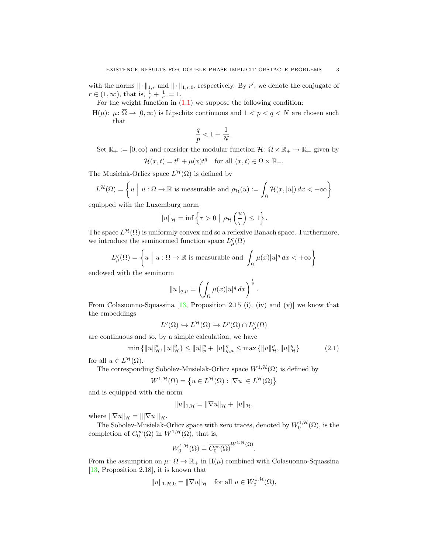with the norms  $\|\cdot\|_{1,r}$  and  $\|\cdot\|_{1,r,0}$ , respectively. By r', we denote the conjugate of  $r \in (1, \infty)$ , that is,  $\frac{1}{r} + \frac{1}{r'} = 1$ .

For the weight function in  $(1.1)$  we suppose the following condition:

H( $\mu$ ):  $\mu$ :  $\overline{\Omega} \to [0,\infty)$  is Lipschitz continuous and  $1 < p < q < N$  are chosen such that

$$
\frac{q}{p} < 1 + \frac{1}{N}.
$$

Set  $\mathbb{R}_+ := [0, \infty)$  and consider the modular function  $\mathcal{H} \colon \Omega \times \mathbb{R}_+ \to \mathbb{R}_+$  given by  $\mathcal{H}(x,t) = t^p + \mu(x)t^q$  for all  $(x,t) \in \Omega \times \mathbb{R}_+$ .

The Musielak-Orlicz space  $L^{\mathcal{H}}(\Omega)$  is defined by

$$
L^{\mathcal{H}}(\Omega) = \left\{ u \mid u : \Omega \to \mathbb{R} \text{ is measurable and } \rho_{\mathcal{H}}(u) := \int_{\Omega} \mathcal{H}(x, |u|) dx < +\infty \right\}
$$

equipped with the Luxemburg norm

$$
||u||_{\mathcal{H}} = \inf \left\{ \tau > 0 \mid \rho_{\mathcal{H}} \left( \frac{u}{\tau} \right) \leq 1 \right\}.
$$

The space  $L^{\mathcal{H}}(\Omega)$  is uniformly convex and so a reflexive Banach space. Furthermore, we introduce the seminormed function space  $L^q_\mu(\Omega)$ 

$$
L^q_\mu(\Omega) = \left\{ u \; \Big| \; u : \Omega \to \mathbb{R} \text{ is measurable and } \int_\Omega \mu(x) |u|^q \, dx < +\infty \right\}
$$

endowed with the seminorm

$$
||u||_{q,\mu} = \left(\int_{\Omega} \mu(x)|u|^q dx\right)^{\frac{1}{q}}
$$

From Colasuonno-Squassina  $[13,$  Proposition 2.15 (i), (iv) and (v)] we know that the embeddings

$$
L^q(\Omega) \hookrightarrow L^{\mathcal{H}}(\Omega) \hookrightarrow L^p(\Omega) \cap L^q_{\mu}(\Omega)
$$

are continuous and so, by a simple calculation, we have

$$
\min\left\{||u||_{\mathcal{H}}^{p},\|u\|_{\mathcal{H}}^{q}\right\} \leq \|u\|_{p}^{p} + \|u\|_{q,\mu}^{q} \leq \max\left\{||u\|_{\mathcal{H}}^{p},\|u\|_{\mathcal{H}}^{q}\right\} \tag{2.1}
$$

<span id="page-2-0"></span>.

for all  $u \in L^{\mathcal{H}}(\Omega)$ .

The corresponding Sobolev-Musielak-Orlicz space  $W^{1, \mathcal{H}}(\Omega)$  is defined by

$$
W^{1,\mathcal{H}}(\Omega) = \left\{ u \in L^{\mathcal{H}}(\Omega) : |\nabla u| \in L^{\mathcal{H}}(\Omega) \right\}
$$

and is equipped with the norm

$$
||u||_{1,\mathcal{H}} = ||\nabla u||_{\mathcal{H}} + ||u||_{\mathcal{H}},
$$

where  $\|\nabla u\|_{\mathcal{H}} = \|\nabla u\|_{\mathcal{H}}.$ 

The Sobolev-Musielak-Orlicz space with zero traces, denoted by  $W_0^{1, \mathcal{H}}(\Omega)$ , is the completion of  $C_0^{\infty}(\Omega)$  in  $W^{1,\mathcal{H}}(\Omega)$ , that is,

$$
W_0^{1,\mathcal{H}}(\Omega) = \overline{C_0^{\infty}(\Omega)}^{W^{1,\mathcal{H}}(\Omega)}.
$$

From the assumption on  $\mu: \overline{\Omega} \to \mathbb{R}_+$  in  $H(\mu)$  combined with Colasuonno-Squassina [\[13,](#page-16-10) Proposition 2.18], it is known that

$$
||u||_{1,\mathcal{H},0} = ||\nabla u||_{\mathcal{H}} \quad \text{for all } u \in W_0^{1,\mathcal{H}}(\Omega),
$$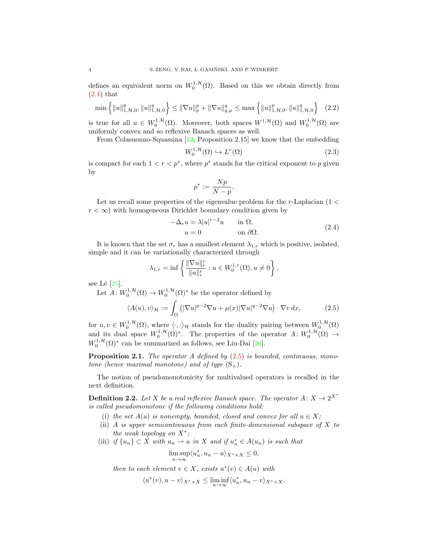defines an equivalent norm on  $W_0^{1,\mathcal{H}}(\Omega)$ . Based on this we obtain directly from  $(2.1)$  that

$$
\min\left\{\|u\|_{1,\mathcal{H},0}^p,\|u\|_{1,\mathcal{H},0}^q\right\} \le \|\nabla u\|_p^p + \|\nabla u\|_{q,\mu}^q \le \max\left\{\|u\|_{1,\mathcal{H},0}^p,\|u\|_{1,\mathcal{H},0}^q\right\} \tag{2.2}
$$

is true for all  $u \in W_0^{1,\mathcal{H}}(\Omega)$ . Moreover, both spaces  $W^{1,\mathcal{H}}(\Omega)$  and  $W_0^{1,\mathcal{H}}(\Omega)$  are uniformly convex and so reflexive Banach spaces as well.

From Colasuonno-Squassina [\[13,](#page-16-10) Proposition 2.15] we know that the embedding

<span id="page-3-4"></span>
$$
W_0^{1, \mathcal{H}}(\Omega) \hookrightarrow L^r(\Omega) \tag{2.3}
$$

is compact for each  $1 < r < p^*$ , where  $p^*$  stands for the critical exponent to p given by

<span id="page-3-3"></span>
$$
p^*:=\frac{Np}{N-p}.
$$

Let us recall some properties of the eigenvalue problem for the r-Laplacian  $(1 \lt \mathcal{C})$  $r < \infty$ ) with homogeneous Dirichlet boundary condition given by

<span id="page-3-1"></span><span id="page-3-0"></span>
$$
-\Delta_r u = \lambda |u|^{r-2}u \quad \text{in } \Omega,
$$
  
 
$$
u = 0 \quad \text{on } \partial\Omega.
$$
 (2.4)

It is known that the set  $\sigma_r$  has a smallest element  $\lambda_{1,r}$  which is positive, isolated, simple and it can be variationally characterized through

$$
\lambda_{1,r} = \inf \left\{ \frac{\|\nabla u\|_r^r}{\|u\|_r^r} : u \in W_0^{1,r}(\Omega), u \neq 0 \right\},\
$$

see Lê  $[25]$ .

Let  $A: W_0^{1,\mathcal{H}}(\Omega) \to W_0^{1,\mathcal{H}}(\Omega)^*$  be the operator defined by

$$
\langle A(u), v \rangle_{\mathcal{H}} := \int_{\Omega} \left( |\nabla u|^{p-2} \nabla u + \mu(x) |\nabla u|^{q-2} \nabla u \right) \cdot \nabla v \, dx,\tag{2.5}
$$

for  $u, v \in W_0^{1,\mathcal{H}}(\Omega)$ , where  $\langle \cdot, \cdot \rangle_{\mathcal{H}}$  stands for the duality pairing between  $W_0^{1,\mathcal{H}}(\Omega)$ and its dual space  $W_0^{1,\mathcal{H}}(\Omega)^*$ . The properties of the operator  $A: W_0^{1,\mathcal{H}}(\Omega) \to$  $W_0^{1, \mathcal{H}}(\Omega)^*$  can be summarized as follows, see Liu-Dai [\[26\]](#page-16-14).

<span id="page-3-2"></span>**Proposition 2.1.** The operator A defined by  $(2.5)$  is bounded, continuous, monotone (hence maximal monotone) and of type  $(S_+)$ .

The notion of pseudomonotonicity for multivalued operators is recalled in the next definition.

**Definition 2.2.** Let X be a real reflexive Banach space. The operator  $A: X \to 2^{X^*}$ is called pseudomonotone if the following conditions hold:

- (i) the set  $A(u)$  is nonempty, bounded, closed and convex for all  $u \in X$ ;
- (ii) A is upper semicontinuous from each finite-dimensional subspace of X to the weak topology on  $X^*$ ;
- (iii) if  $\{u_n\} \subset X$  with  $u_n \rightharpoonup u$  in X and if  $u_n^* \in A(u_n)$  is such that

$$
\limsup_{n \to \infty} \langle u_n^*, u_n - u \rangle_{X^* \times X} \le 0,
$$

then to each element  $v \in X$ , exists  $u^*(v) \in A(u)$  with

$$
\langle u^*(v), u-v\rangle_{X^*\times X} \le \liminf_{n\to\infty} \langle u_n^*, u_n-v\rangle_{X^*\times X}.
$$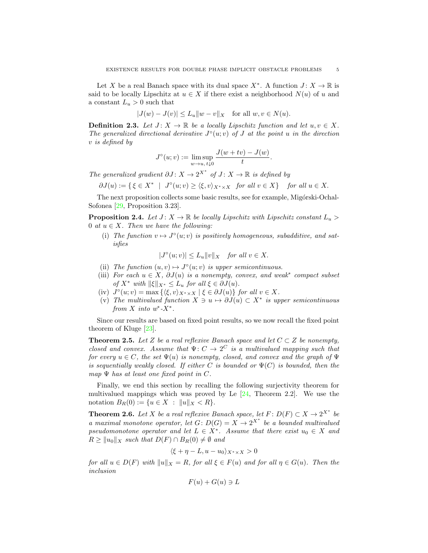Let X be a real Banach space with its dual space  $X^*$ . A function  $J: X \to \mathbb{R}$  is said to be locally Lipschitz at  $u \in X$  if there exist a neighborhood  $N(u)$  of u and a constant  $L_u > 0$  such that

$$
|J(w) - J(v)| \le L_u \|w - v\|_X \quad \text{for all } w, v \in N(u).
$$

**Definition 2.3.** Let  $J: X \to \mathbb{R}$  be a locally Lipschitz function and let  $u, v \in X$ . The generalized directional derivative  $J^{\circ}(u; v)$  of J at the point u in the direction v is defined by

$$
J^{o}(u; v) := \limsup_{w \to u, t \downarrow 0} \frac{J(w + tv) - J(w)}{t}.
$$

The generalized gradient  $\partial J: X \to 2^{X^*}$  of  $J: X \to \mathbb{R}$  is defined by

$$
\partial J(u) := \{ \xi \in X^* \mid J^{\circ}(u; v) \ge \langle \xi, v \rangle_{X^* \times X} \text{ for all } v \in X \} \text{ for all } u \in X.
$$

The next proposition collects some basic results, see for example, Migórski-Ochal-Sofonea [\[29,](#page-16-24) Proposition 3.23].

<span id="page-4-2"></span>**Proposition 2.4.** Let  $J: X \to \mathbb{R}$  be locally Lipschitz with Lipschitz constant  $L_u >$ 0 at  $u \in X$ . Then we have the following:

(i) The function  $v \mapsto J^{\circ}(u; v)$  is positively homogeneous, subadditive, and satisfies

$$
|J^{\circ}(u;v)| \le L_u ||v||_X \quad \text{for all } v \in X.
$$

- (ii) The function  $(u, v) \mapsto J^{\circ}(u; v)$  is upper semicontinuous.
- (iii) For each  $u \in X$ ,  $\partial J(u)$  is a nonempty, convex, and weak<sup>\*</sup> compact subset of  $X^*$  with  $\|\xi\|_{X^*} \leq L_u$  for all  $\xi \in \partial J(u)$ .
- (iv)  $J^{\circ}(u; v) = \max \{\langle \xi, v \rangle_{X^* \times X} \mid \xi \in \partial J(u)\}\$  for all  $v \in X$ .
- (v) The multivalued function  $X \ni u \mapsto \partial J(u) \subset X^*$  is upper semicontinuous from X into  $w^*$ -X<sup>\*</sup>.

Since our results are based on fixed point results, so we now recall the fixed point theorem of Kluge [\[23\]](#page-16-25).

<span id="page-4-0"></span>Theorem 2.5. Let Z be a real reflexive Banach space and let  $C \subset Z$  be nonempty, closed and convex. Assume that  $\Psi: C \to 2^C$  is a multivalued mapping such that for every  $u \in C$ , the set  $\Psi(u)$  is nonempty, closed, and convex and the graph of  $\Psi$ is sequentially weakly closed. If either C is bounded or  $\Psi(C)$  is bounded, then the map  $\Psi$  has at least one fixed point in C.

Finally, we end this section by recalling the following surjectivity theorem for multivalued mappings which was proved by Le  $[24,$  Theorem 2.2]. We use the notation  $B_R(0) := \{u \in X : ||u||_X < R\}.$ 

<span id="page-4-1"></span>**Theorem 2.6.** Let X be a real reflexive Banach space, let  $F: D(F) \subset X \to 2^{X^*}$  be a maximal monotone operator, let  $G: D(G) = X \rightarrow 2^{X^*}$  be a bounded multivalued pseudomonotone operator and let  $L \in X^*$ . Assume that there exist  $u_0 \in X$  and  $R \ge ||u_0||_X$  such that  $D(F) \cap B_R(0) \neq \emptyset$  and

$$
\langle \xi + \eta - L, u - u_0 \rangle_{X^* \times X} > 0
$$

for all  $u \in D(F)$  with  $||u||_X = R$ , for all  $\xi \in F(u)$  and for all  $\eta \in G(u)$ . Then the inclusion

$$
F(u) + G(u) \ni L
$$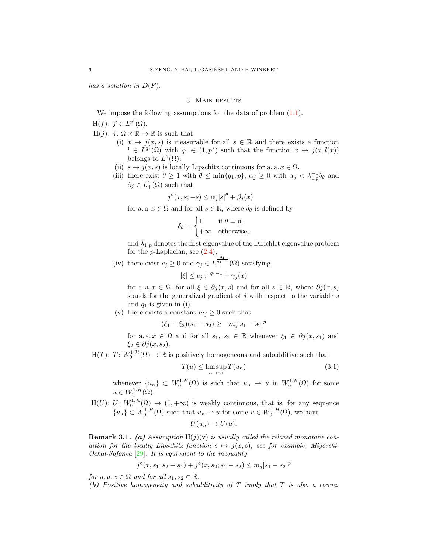<span id="page-5-0"></span>has a solution in  $D(F)$ .

### 3. Main results

We impose the following assumptions for the data of problem  $(1.1)$ .

 $H(f)$ :  $f \in L^{p'}(\Omega)$ .

 $H(j): j: \Omega \times \mathbb{R} \to \mathbb{R}$  is such that

- (i)  $x \mapsto j(x, s)$  is measurable for all  $s \in \mathbb{R}$  and there exists a function  $l \in L^{q_1}(\Omega)$  with  $q_1 \in (1,p^*)$  such that the function  $x \mapsto j(x, l(x))$ belongs to  $L^1(\Omega)$ ;
- (ii)  $s \mapsto j(x, s)$  is locally Lipschitz continuous for a. a.  $x \in \Omega$ .
- (iii) there exist  $\theta \geq 1$  with  $\theta \leq \min\{q_1, p\}$ ,  $\alpha_j \geq 0$  with  $\alpha_j < \lambda_{1,p}^{-1} \delta_\theta$  and  $\beta_j \in L^1_+(\Omega)$  such that

$$
j^{\circ}(x, s; -s) \leq \alpha_j |s|^{\theta} + \beta_j(x)
$$

for a. a.  $x \in \Omega$  and for all  $s \in \mathbb{R}$ , where  $\delta_{\theta}$  is defined by

$$
\delta_{\theta} = \begin{cases} 1 & \text{if } \theta = p, \\ +\infty & \text{otherwise,} \end{cases}
$$

and  $\lambda_{1,p}$  denotes the first eigenvalue of the Dirichlet eigenvalue problem for the  $p$ -Laplacian, see  $(2.4)$ ;

(iv) there exist  $c_j \geq 0$  and  $\gamma_j \in L^{\frac{q_1}{q_1-1}}_+(\Omega)$  satisfying

$$
|\xi| \le c_j |r|^{q_1 - 1} + \gamma_j(x)
$$

for a. a.  $x \in \Omega$ , for all  $\xi \in \partial j(x, s)$  and for all  $s \in \mathbb{R}$ , where  $\partial j(x, s)$ stands for the generalized gradient of  $j$  with respect to the variable  $s$ and  $q_1$  is given in (i);

(v) there exists a constant  $m_j \geq 0$  such that

$$
(\xi_1 - \xi_2)(s_1 - s_2) \ge -m_j|s_1 - s_2|^p
$$

for a. a.  $x \in \Omega$  and for all  $s_1, s_2 \in \mathbb{R}$  whenever  $\xi_1 \in \partial j(x, s_1)$  and  $\xi_2 \in \partial j(x, s_2)$ .

 $H(T)$ :  $T: W_0^{1,\mathcal{H}}(\Omega) \to \mathbb{R}$  is positively homogeneous and subadditive such that

<span id="page-5-1"></span>
$$
T(u) \le \limsup_{n \to \infty} T(u_n)
$$
\n(3.1)

whenever  $\{u_n\} \subset W_0^{1,\mathcal{H}}(\Omega)$  is such that  $u_n \rightharpoonup u$  in  $W_0^{1,\mathcal{H}}(\Omega)$  for some  $u \in W_0^{1, \mathcal{H}}(\Omega).$ 

 $H(U): U: W_0^{1,\mathcal{H}}(\Omega) \to (0, +\infty)$  is weakly continuous, that is, for any sequence  ${u_n} \subset W_0^{1,\mathcal{H}}(\Omega)$  such that  $u_n \rightharpoonup u$  for some  $u \in W_0^{1,\mathcal{H}}(\Omega)$ , we have

$$
U(u_n) \to U(u).
$$

<span id="page-5-2"></span>**Remark 3.1.** (a) Assumption  $H(j)(v)$  is usually called the relaxed monotone condition for the locally Lipschitz function  $s \mapsto j(x, s)$ , see for example, Migórski-Ochal-Sofonea [\[29\]](#page-16-24). It is equivalent to the inequality

$$
j^{\circ}(x, s_1; s_2 - s_1) + j^{\circ}(x, s_2; s_1 - s_2) \le m_j |s_1 - s_2|^p
$$

for a. a.  $x \in \Omega$  and for all  $s_1, s_2 \in \mathbb{R}$ .

(b) Positive homogeneity and subadditivity of T imply that T is also a convex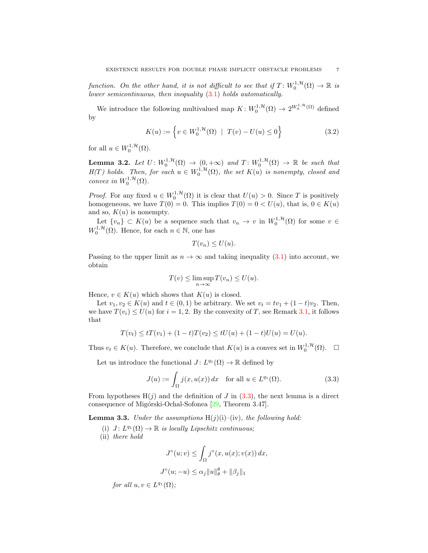function. On the other hand, it is not difficult to see that if  $T \colon W_0^{1,\mathcal{H}}(\Omega) \to \mathbb{R}$  is lower semicontinuous, then inequality [\(3.1\)](#page-5-1) holds automatically.

We introduce the following multivalued map  $K: W_0^{1,\mathcal{H}}(\Omega) \to 2^{W_0^{1,\mathcal{H}}(\Omega)}$  defined by

$$
K(u) := \left\{ v \in W_0^{1, \mathcal{H}}(\Omega) \mid T(v) - U(u) \le 0 \right\}
$$
 (3.2)

for all  $u \in W_0^{1, \mathcal{H}}(\Omega)$ .

<span id="page-6-3"></span>**Lemma 3.2.** Let  $U: W_0^{1, H}(\Omega) \to (0, +\infty)$  and  $T: W_0^{1, H}(\Omega) \to \mathbb{R}$  be such that  $H(T)$  holds. Then, for each  $u \in W_0^{1,\mathcal{H}}(\Omega)$ , the set  $K(u)$  is nonempty, closed and convex in  $W_0^{1,\mathcal{H}}(\Omega)$ .

*Proof.* For any fixed  $u \in W_0^{1,\mathcal{H}}(\Omega)$  it is clear that  $U(u) > 0$ . Since T is positively homogeneous, we have  $T(0) = 0$ . This implies  $T(0) = 0 < U(u)$ , that is,  $0 \in K(u)$ and so,  $K(u)$  is nonempty.

Let  $\{v_n\} \subset K(u)$  be a sequence such that  $v_n \to v$  in  $W_0^{1,\mathcal{H}}(\Omega)$  for some  $v \in$  $W_0^{1, \mathcal{H}}(\Omega)$ . Hence, for each  $n \in \mathbb{N}$ , one has

<span id="page-6-1"></span>
$$
T(v_n) \le U(u).
$$

Passing to the upper limit as  $n \to \infty$  and taking inequality [\(3.1\)](#page-5-1) into account, we obtain

$$
T(v) \le \limsup_{n \to \infty} T(v_n) \le U(u).
$$

Hence,  $v \in K(u)$  which shows that  $K(u)$  is closed.

Let  $v_1, v_2 \in K(u)$  and  $t \in (0, 1)$  be arbitrary. We set  $v_t = tv_1 + (1 - t)v_2$ . Then, we have  $T(v_i) \le U(u)$  for  $i = 1, 2$ . By the convexity of T, see Remark [3.1,](#page-5-2) it follows that

$$
T(v_t) \le tT(v_1) + (1-t)T(v_2) \le tU(u) + (1-t)U(u) = U(u).
$$

Thus  $v_t \in K(u)$ . Therefore, we conclude that  $K(u)$  is a convex set in  $W_0^{1,\mathcal{H}}(\Omega)$ .  $\Box$ 

Let us introduce the functional  $J: L^{q_1}(\Omega) \to \mathbb{R}$  defined by

$$
J(u) := \int_{\Omega} j(x, u(x)) dx \quad \text{for all } u \in L^{q_1}(\Omega). \tag{3.3}
$$

From hypotheses  $H(j)$  and the definition of J in [\(3.3\)](#page-6-0), the next lemma is a direct consequence of Migórski-Ochal-Sofonea [\[29,](#page-16-24) Theorem 3.47].

<span id="page-6-2"></span>**Lemma 3.3.** Under the assumptions  $H(j)(i)$ –(iv), the following hold:

(i)  $J: L^{q_1}(\Omega) \to \mathbb{R}$  is locally Lipschitz continuous;

(ii) there hold

<span id="page-6-0"></span>
$$
J^{\circ}(u; v) \leq \int_{\Omega} j^{\circ}(x, u(x); v(x)) dx,
$$

$$
J^{\circ}(u; -u) \leq \alpha_j \|u\|_{\theta}^{\theta} + \|\beta_j\|_1
$$

for all  $u, v \in L^{q_1}(\Omega)$ ;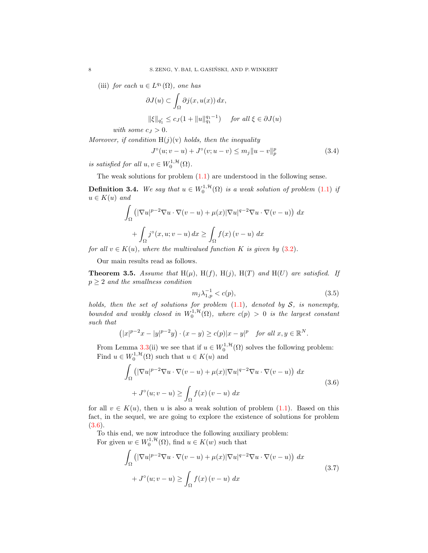(iii) for each  $u \in L^{q_1}(\Omega)$ , one has

$$
\partial J(u) \subset \int_{\Omega} \partial j(x, u(x)) dx,
$$
  

$$
\|\xi\|_{q'_1} \le c_J(1 + \|u\|_{q_1}^{q_1 - 1}) \quad \text{for all } \xi \in \partial J(u)
$$

with some  $c_J > 0$ .

Moreover, if condition  $H(j)(v)$  holds, then the inequality

<span id="page-7-5"></span>
$$
J^{\circ}(u;v-u) + J^{\circ}(v;u-v) \le m_j \|u-v\|_p^p \tag{3.4}
$$

is satisfied for all  $u, v \in W_0^{1, H}(\Omega)$ .

The weak solutions for problem  $(1.1)$  are understood in the following sense.

<span id="page-7-0"></span>**Definition 3.4.** We say that  $u \in W_0^{1,\mathcal{H}}(\Omega)$  is a weak solution of problem [\(1.1\)](#page-0-0) if  $u \in K(u)$  and

$$
\int_{\Omega} \left( |\nabla u|^{p-2} \nabla u \cdot \nabla (v - u) + \mu(x) |\nabla u|^{q-2} \nabla u \cdot \nabla (v - u) \right) dx
$$

$$
+ \int_{\Omega} j^{\circ}(x, u; v - u) dx \ge \int_{\Omega} f(x) (v - u) dx
$$

for all  $v \in K(u)$ , where the multivalued function K is given by  $(3.2)$ .

Our main results read as follows.

<span id="page-7-2"></span>**Theorem 3.5.** Assume that  $H(\mu)$ ,  $H(f)$ ,  $H(j)$ ,  $H(T)$  and  $H(U)$  are satisfied. If  $p \geq 2$  and the smallness condition

<span id="page-7-4"></span><span id="page-7-3"></span>
$$
m_j \lambda_{1,p}^{-1} < c(p),\tag{3.5}
$$

holds, then the set of solutions for problem  $(1.1)$ , denoted by S, is nonempty, bounded and weakly closed in  $W_0^{1,\mathcal{H}}(\Omega)$ , where  $c(p) > 0$  is the largest constant such that

$$
(|x|^{p-2}x - |y|^{p-2}y) \cdot (x - y) \ge c(p)|x - y|^p \quad \text{for all } x, y \in \mathbb{R}^N.
$$

From Lemma [3.3\(](#page-6-2)ii) we see that if  $u \in W_0^{1,\mathcal{H}}(\Omega)$  solves the following problem: Find  $u \in W_0^{1, H}(\Omega)$  such that  $u \in K(u)$  and

$$
\int_{\Omega} \left( |\nabla u|^{p-2} \nabla u \cdot \nabla (v - u) + \mu(x) |\nabla u|^{q-2} \nabla u \cdot \nabla (v - u) \right) dx
$$
\n
$$
+ J^{\circ}(u; v - u) \ge \int_{\Omega} f(x) (v - u) dx
$$
\n(3.6)

for all  $v \in K(u)$ , then u is also a weak solution of problem [\(1.1\)](#page-0-0). Based on this fact, in the sequel, we are going to explore the existence of solutions for problem [\(3.6\)](#page-7-3).

To this end, we now introduce the following auxiliary problem: For given  $w \in W_0^{1, \mathcal{H}}(\Omega)$ , find  $u \in K(w)$  such that

<span id="page-7-1"></span>
$$
\int_{\Omega} \left( |\nabla u|^{p-2} \nabla u \cdot \nabla (v - u) + \mu(x) |\nabla u|^{q-2} \nabla u \cdot \nabla (v - u) \right) dx
$$
\n
$$
+ J^{\circ}(u; v - u) \ge \int_{\Omega} f(x) (v - u) dx
$$
\n(3.7)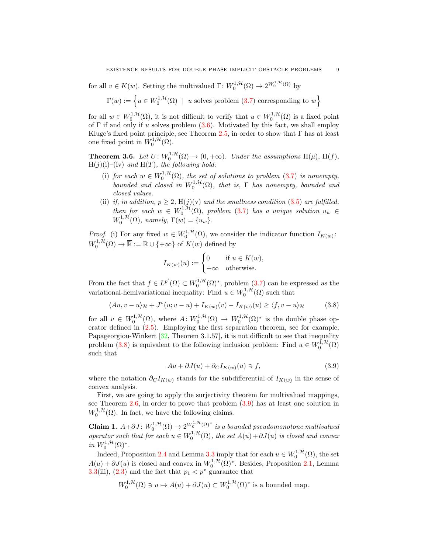for all  $v \in K(w)$ . Setting the multivalued  $\Gamma: W_0^{1, \mathcal{H}}(\Omega) \to 2^{W_0^{1, \mathcal{H}}(\Omega)}$  by

$$
\Gamma(w) := \left\{ u \in W_0^{1, \mathcal{H}}(\Omega) \mid u \text{ solves problem (3.7) corresponding to } w \right\}
$$

for all  $w \in W_0^{1,\mathcal{H}}(\Omega)$ , it is not difficult to verify that  $u \in W_0^{1,\mathcal{H}}(\Omega)$  is a fixed point of  $\Gamma$  if and only if u solves problem  $(3.6)$ . Motivated by this fact, we shall employ Kluge's fixed point principle, see Theorem [2.5,](#page-4-0) in order to show that  $\Gamma$  has at least one fixed point in  $W_0^{1,\mathcal{H}}(\Omega)$ .

<span id="page-8-0"></span>**Theorem 3.6.** Let  $U: W_0^{1, H}(\Omega) \to (0, +\infty)$ . Under the assumptions  $H(\mu)$ ,  $H(f)$ ,  $H(j)(i)$ –(iv) and  $H(T)$ , the following hold:

- (i) for each  $w \in W_0^{1,\mathcal{H}}(\Omega)$ , the set of solutions to problem [\(3.7\)](#page-7-1) is nonempty, bounded and closed in  $W_0^{1,\mathcal{H}}(\Omega)$ , that is,  $\Gamma$  has nonempty, bounded and closed values.
- (ii) if, in addition,  $p \geq 2$ ,  $H(j)(v)$  and the smallness condition [\(3.5\)](#page-7-4) are fulfilled, then for each  $w \in W_0^{1,\mathcal{H}}(\Omega)$ , problem [\(3.7\)](#page-7-1) has a unique solution  $u_w \in$  $W_0^{1,\mathcal{H}}(\Omega)$ , namely,  $\Gamma(w) = \{u_w\}.$

*Proof.* (i) For any fixed  $w \in W_0^{1, H}(\Omega)$ , we consider the indicator function  $I_{K(w)}$ :  $W_0^{1,\mathcal{H}}(\Omega) \to \overline{\mathbb{R}} := \mathbb{R} \cup \{+\infty\}$  of  $K(w)$  defined by

<span id="page-8-1"></span>
$$
I_{K(w)}(u) := \begin{cases} 0 & \text{if } u \in K(w), \\ +\infty & \text{otherwise.} \end{cases}
$$

From the fact that  $f \in L^{p'}(\Omega) \subset W_0^{1,\mathcal{H}}(\Omega)^*$ , problem [\(3.7\)](#page-7-1) can be expressed as the variational-hemivariational inequality: Find  $u \in W_0^{1, \mathcal{H}}(\Omega)$  such that

$$
\langle Au, v - u \rangle_{\mathcal{H}} + J^{\circ}(u; v - u) + I_{K(w)}(v) - I_{K(w)}(u) \ge \langle f, v - u \rangle_{\mathcal{H}}
$$
(3.8)

for all  $v \in W_0^{1,\mathcal{H}}(\Omega)$ , where  $A: W_0^{1,\mathcal{H}}(\Omega) \to W_0^{1,\mathcal{H}}(\Omega)^*$  is the double phase operator defined in [\(2.5\)](#page-3-0). Employing the first separation theorem, see for example, Papageorgiou-Winkert [\[32,](#page-16-26) Theorem 3.1.57], it is not difficult to see that inequality problem [\(3.8\)](#page-8-1) is equivalent to the following inclusion problem: Find  $u \in W_0^{1,\mathcal{H}}(\Omega)$ such that

<span id="page-8-2"></span>
$$
Au + \partial J(u) + \partial_C I_{K(w)}(u) \ni f,\tag{3.9}
$$

where the notation  $\partial_C I_{K(w)}$  stands for the subdifferential of  $I_{K(w)}$  in the sense of convex analysis.

First, we are going to apply the surjectivity theorem for multivalued mappings, see Theorem [2.6,](#page-4-1) in order to prove that problem [\(3.9\)](#page-8-2) has at least one solution in  $W_0^{1, \mathcal{H}}(\Omega)$ . In fact, we have the following claims.

Claim 1.  $A + \partial J$ :  $W_0^{1, H}(\Omega)$  →  $2^{W_0^{1, H}(\Omega)^*}$  is a bounded pseudomonotone multivalued operator such that for each  $u \in W_0^{1,\mathcal{H}}(\Omega)$ , the set  $A(u) + \partial J(u)$  is closed and convex in  $W_0^{1,\mathcal{H}}(\Omega)^*$ .

Indeed, Proposition [2.4](#page-4-2) and Lemma [3.3](#page-6-2) imply that for each  $u \in W_0^{1, \mathcal{H}}(\Omega)$ , the set  $A(u) + \partial J(u)$  is closed and convex in  $W_0^{1, \mathcal{H}}(\Omega)^*$ . Besides, Proposition [2.1,](#page-3-2) Lemma [3.3\(](#page-6-2)iii), [\(2.3\)](#page-3-3) and the fact that  $p_1 < p^*$  guarantee that

$$
W_0^{1,\mathcal{H}}(\Omega) \ni u \mapsto A(u) + \partial J(u) \subset W_0^{1,\mathcal{H}}(\Omega)^*
$$
 is a bounded map.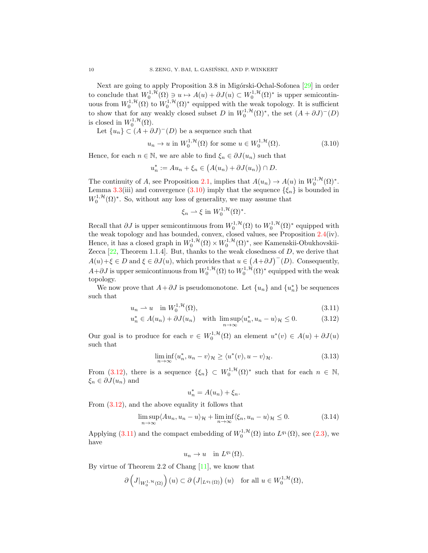Next are going to apply Proposition 3.8 in Migórski-Ochal-Sofonea [\[29\]](#page-16-24) in order to conclude that  $W_0^{1,\mathcal{H}}(\Omega) \ni u \mapsto A(u) + \partial J(u) \subset W_0^{1,\mathcal{H}}(\Omega)^*$  is upper semicontinuous from  $W_0^{1,\mathcal{H}}(\Omega)$  to  $W_0^{1,\mathcal{H}}(\Omega)^*$  equipped with the weak topology. It is sufficient to show that for any weakly closed subset D in  $W_0^{1,\mathcal{H}}(\Omega)^*$ , the set  $(A + \partial J)^-(D)$ is closed in  $W_0^{1, \mathcal{H}}(\Omega)$ .

Let  ${u_n} \subset (A + \partial J)^{-1}(D)$  be a sequence such that

$$
u_n \to u \text{ in } W_0^{1,\mathcal{H}}(\Omega) \text{ for some } u \in W_0^{1,\mathcal{H}}(\Omega). \tag{3.10}
$$

Hence, for each  $n \in \mathbb{N}$ , we are able to find  $\xi_n \in \partial J(u_n)$  such that

$$
u_n^* := Au_n + \xi_n \in (A(u_n) + \partial J(u_n)) \cap D.
$$

The continuity of A, see Proposition [2.1,](#page-3-2) implies that  $A(u_n) \to A(u)$  in  $W_0^{1, \mathcal{H}}(\Omega)^*$ . Lemma [3.3\(](#page-6-2)iii) and convergence [\(3.10\)](#page-9-0) imply that the sequence  $\{\xi_n\}$  is bounded in  $W_0^{1, \mathcal{H}}(\Omega)^*$ . So, without any loss of generality, we may assume that

<span id="page-9-0"></span>
$$
\xi_n \rightharpoonup \xi \text{ in } W_0^{1,\mathcal{H}}(\Omega)^*.
$$

Recall that  $\partial J$  is upper semicontinuous from  $W_0^{1,\mathcal{H}}(\Omega)$  to  $W_0^{1,\mathcal{H}}(\Omega)^*$  equipped with the weak topology and has bounded, convex, closed values, see Proposition [2.4\(](#page-4-2)iv). Hence, it has a closed graph in  $W_0^{1, H}(\Omega) \times W_0^{1, H}(\Omega)^*$ , see Kamenskii-Obukhovskii-Zecca  $[22,$  Theorem 1.1.4]. But, thanks to the weak closedness of  $D$ , we derive that  $A(u) + \xi \in D$  and  $\xi \in \partial J(u)$ , which provides that  $u \in (A + \partial J)^{-1}(D)$ . Consequently,  $A+\partial J$  is upper semicontinuous from  $W_0^{1,\mathcal{H}}(\Omega)$  to  $W_0^{1,\mathcal{H}}(\Omega)^*$  equipped with the weak topology.

We now prove that  $A + \partial J$  is pseudomonotone. Let  $\{u_n\}$  and  $\{u_n^*\}$  be sequences such that

$$
u_n \rightharpoonup u \quad \text{in } W_0^{1, \mathcal{H}}(\Omega),\tag{3.11}
$$

$$
u_n^* \in A(u_n) + \partial J(u_n) \quad \text{with } \limsup_{n \to \infty} \langle u_n^*, u_n - u \rangle_{\mathcal{H}} \le 0. \tag{3.12}
$$

Our goal is to produce for each  $v \in W_0^{1,\mathcal{H}}(\Omega)$  an element  $u^*(v) \in A(u) + \partial J(u)$ such that

$$
\liminf_{n \to \infty} \langle u_n^*, u_n - v \rangle_{\mathcal{H}} \ge \langle u^*(v), u - v \rangle_{\mathcal{H}}.
$$
\n(3.13)

From [\(3.12\)](#page-9-1), there is a sequence  $\{\xi_n\} \subset W_0^{1,\mathcal{H}}(\Omega)^*$  such that for each  $n \in \mathbb{N}$ ,  $\xi_n \in \partial J(u_n)$  and

<span id="page-9-4"></span><span id="page-9-3"></span><span id="page-9-2"></span><span id="page-9-1"></span>
$$
u_n^* = A(u_n) + \xi_n.
$$

From [\(3.12\)](#page-9-1), and the above equality it follows that

$$
\limsup_{n \to \infty} \langle Au_n, u_n - u \rangle_{\mathcal{H}} + \liminf_{n \to \infty} \langle \xi_n, u_n - u \rangle_{\mathcal{H}} \le 0.
$$
 (3.14)

Applying [\(3.11\)](#page-9-2) and the compact embedding of  $W_0^{1, H}(\Omega)$  into  $L^{q_1}(\Omega)$ , see [\(2.3\)](#page-3-3), we have

$$
u_n \to u \quad \text{in } L^{q_1}(\Omega).
$$

By virtue of Theorem 2.2 of Chang  $[11]$ , we know that

$$
\partial \left( J|_{W_0^{1,\mathcal{H}}(\Omega)} \right)(u) \subset \partial \left( J|_{L^{q_1}(\Omega)} \right)(u) \quad \text{for all } u \in W_0^{1,\mathcal{H}}(\Omega),
$$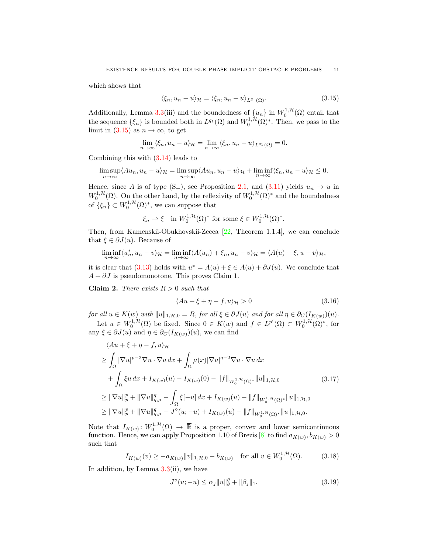which shows that

<span id="page-10-0"></span>
$$
\langle \xi_n, u_n - u \rangle_{\mathcal{H}} = \langle \xi_n, u_n - u \rangle_{L^{q_1}(\Omega)}.
$$
\n(3.15)

Additionally, Lemma [3.3\(](#page-6-2)iii) and the boundedness of  $\{u_n\}$  in  $W_0^{1,\mathcal{H}}(\Omega)$  entail that the sequence  $\{\xi_n\}$  is bounded both in  $L^{q_1}(\Omega)$  and  $W_0^{1,\mathcal{H}}(\Omega)^*$ . Then, we pass to the limit in  $(3.15)$  as  $n \to \infty$ , to get

$$
\lim_{n \to \infty} \langle \xi_n, u_n - u \rangle_{\mathcal{H}} = \lim_{n \to \infty} \langle \xi_n, u_n - u \rangle_{L^{q_1}(\Omega)} = 0.
$$

Combining this with [\(3.14\)](#page-9-3) leads to

$$
\limsup_{n \to \infty} \langle Au_n, u_n - u \rangle_{\mathcal{H}} = \limsup_{n \to \infty} \langle Au_n, u_n - u \rangle_{\mathcal{H}} + \liminf_{n \to \infty} \langle \xi_n, u_n - u \rangle_{\mathcal{H}} \leq 0.
$$

Hence, since A is of type  $(S_+)$ , see Proposition [2.1,](#page-3-2) and [\(3.11\)](#page-9-2) yields  $u_n \to u$  in  $W_0^{1,\mathcal{H}}(\Omega)$ . On the other hand, by the reflexivity of  $W_0^{1,\mathcal{H}}(\Omega)^*$  and the boundedness of  $\{\xi_n\} \subset W_0^{1,\mathcal{H}}(\Omega)^*$ , we can suppose that

$$
\xi_n \rightharpoonup \xi
$$
 in  $W_0^{1,\mathcal{H}}(\Omega)^*$  for some  $\xi \in W_0^{1,\mathcal{H}}(\Omega)^*$ .

Then, from Kamenskii-Obukhovskii-Zecca [\[22,](#page-16-27) Theorem 1.1.4], we can conclude that  $\xi \in \partial J(u)$ . Because of

$$
\liminf_{n \to \infty} \langle u_n^*, u_n - v \rangle_{\mathcal{H}} = \liminf_{n \to \infty} \langle A(u_n) + \xi_n, u_n - v \rangle_{\mathcal{H}} = \langle A(u) + \xi, u - v \rangle_{\mathcal{H}},
$$

it is clear that [\(3.13\)](#page-9-4) holds with  $u^* = A(u) + \xi \in A(u) + \partial J(u)$ . We conclude that  $A + \partial J$  is pseudomonotone. This proves Claim 1.

Claim 2. There exists  $R > 0$  such that

<span id="page-10-4"></span><span id="page-10-3"></span>
$$
\langle Au + \xi + \eta - f, u \rangle_{\mathcal{H}} > 0 \tag{3.16}
$$

for all  $u \in K(w)$  with  $||u||_{1,\mathcal{H},0} = R$ , for all  $\xi \in \partial J(u)$  and for all  $\eta \in \partial_C (I_{K(w)})(u)$ . Let  $u \in W_0^{1,\mathcal{H}}(\Omega)$  be fixed. Since  $0 \in K(w)$  and  $f \in L^{p'}(\Omega) \subset W_0^{1,\mathcal{H}}(\Omega)^*$ , for any  $\xi \in \partial J(u)$  and  $\eta \in \partial_C (I_{K(w)})(u)$ , we can find

$$
\langle Au + \xi + \eta - f, u \rangle_{\mathcal{H}}
$$
\n
$$
\geq \int_{\Omega} |\nabla u|^{p-2} \nabla u \cdot \nabla u \, dx + \int_{\Omega} \mu(x) |\nabla u|^{q-2} \nabla u \cdot \nabla u \, dx
$$
\n
$$
+ \int_{\Omega} \xi u \, dx + I_{K(w)}(u) - I_{K(w)}(0) - ||f||_{W_0^{1, \mathcal{H}}(\Omega)^*} ||u||_{1, \mathcal{H}, 0} \tag{3.17}
$$
\n
$$
\geq ||\nabla u||_p^p + ||\nabla u||_{q, \mu}^q - \int_{\Omega} \xi[-u] \, dx + I_{K(w)}(u) - ||f||_{W_0^{1, \mathcal{H}}(\Omega)^*} ||u||_{1, \mathcal{H}, 0}
$$
\n
$$
\geq ||\nabla u||_p^p + ||\nabla u||_{q, \mu}^q - J^\circ(u; -u) + I_{K(w)}(u) - ||f||_{W_0^{1, \mathcal{H}}(\Omega)^*} ||u||_{1, \mathcal{H}, 0}.
$$

Note that  $I_{K(w)}: W_0^{1,\mathcal{H}}(\Omega) \to \overline{\mathbb{R}}$  is a proper, convex and lower semicontinuous function. Hence, we can apply Proposition 1.10 of Brezis [\[8\]](#page-15-10) to find  $a_{K(w)}, b_{K(w)} > 0$ such that

$$
I_{K(w)}(v) \ge -a_{K(w)} \|v\|_{1, \mathcal{H}, 0} - b_{K(w)} \quad \text{for all } v \in W_0^{1, \mathcal{H}}(\Omega). \tag{3.18}
$$

In addition, by Lemma  $3.3(ii)$  $3.3(ii)$ , we have

<span id="page-10-2"></span><span id="page-10-1"></span>
$$
J^{\circ}(u; -u) \le \alpha_j \|u\|_{\theta}^{\theta} + \|\beta_j\|_1. \tag{3.19}
$$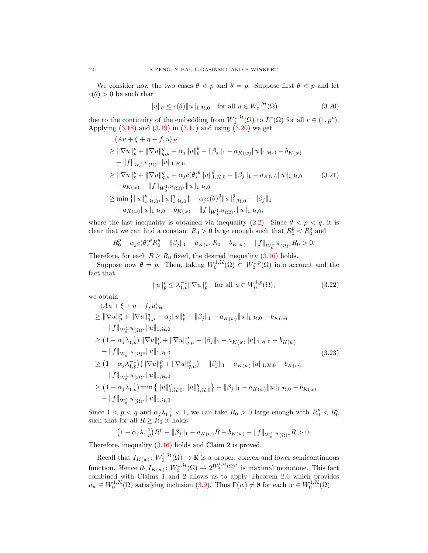We consider now the two cases  $\theta < p$  and  $\theta = p$ . Suppose first  $\theta < p$  and let  $c(\theta) > 0$  be such that

<span id="page-11-1"></span><span id="page-11-0"></span>
$$
||u||_{\theta} \le c(\theta) ||u||_{1,\mathcal{H},0} \quad \text{for all } u \in W_0^{1,\mathcal{H}}(\Omega)
$$
 (3.20)

due to the continuity of the embedding from  $W_0^{1,\mathcal{H}}(\Omega)$  to  $L^r(\Omega)$  for all  $r \in (1,p^*)$ . Applying  $(3.18)$  and  $(3.19)$  in  $(3.17)$  and using  $(3.20)$  we get

$$
\langle Au + \xi + \eta - f, u \rangle_{\mathcal{H}}
$$
\n
$$
\geq \|\nabla u\|_{p}^{p} + \|\nabla u\|_{q,\mu}^{q} - \alpha_{j} \|u\|_{\theta}^{\theta} - \|\beta_{j}\|_{1} - a_{K(w)} \|u\|_{1,\mathcal{H},0} - b_{K(w)}
$$
\n
$$
- \|f\|_{W_{0}^{1,\mathcal{H}}(\Omega)^{*}} \|u\|_{1,\mathcal{H},0}
$$
\n
$$
\geq \|\nabla u\|_{p}^{p} + \|\nabla u\|_{q,\mu}^{q} - \alpha_{j}c(\theta)^{\theta} \|u\|_{1,\mathcal{H},0}^{\theta} - \|\beta_{j}\|_{1} - a_{K(w)} \|u\|_{1,\mathcal{H},0}
$$
\n
$$
- b_{K(w)} - \|f\|_{W_{0}^{1,\mathcal{H}}(\Omega)^{*}} \|u\|_{1,\mathcal{H},0}
$$
\n
$$
\geq \min \{ \|u\|_{1,\mathcal{H},0}^{p}, \|u\|_{1,\mathcal{H},0}^{q} \} - \alpha_{j}c(\theta)^{\theta} \|u\|_{1,\mathcal{H},0}^{\theta} - \|\beta_{j}\|_{1}
$$
\n
$$
- a_{K(w)} \|u\|_{1,\mathcal{H},0} - b_{K(w)} - \|f\|_{W_{0}^{1,\mathcal{H}}(\Omega)^{*}} \|u\|_{1,\mathcal{H},0},
$$
\n(3.21)

where the last inequality is obtained via inequality  $(2.2)$ . Since  $\theta < p < q$ , it is clear that we can find a constant  $R_0 > 0$  large enough such that  $R_0^p < R_0^q$  and

$$
R_0^p - \alpha_j c(\theta)^{\theta} R_0^{\theta} - ||\beta_j||_1 - a_{K(w)} R_0 - b_{K(w)} - ||f||_{W_0^{1,\mathcal{H}}(\Omega)^*} R_0 > 0.
$$

Therefore, for each  $R \ge R_0$  fixed, the desired inequality [\(3.16\)](#page-10-4) holds.

Suppose now  $\theta = p$ . Then, taking  $W_0^{1,\mathcal{H}}(\Omega) \subset W_0^{1,p}(\Omega)$  into account and the fact that

<span id="page-11-3"></span><span id="page-11-2"></span>
$$
||u||_p^p \le \lambda_{1,p}^{-1} ||\nabla u||_p^p \quad \text{for all } u \in W_0^{1,p}(\Omega),
$$
 (3.22)

we obtain

$$
\langle Au + \xi + \eta - f, u \rangle_{\mathcal{H}}
$$
\n
$$
\geq \|\nabla u\|_{p}^{p} + \|\nabla u\|_{q,\mu}^{q} - \alpha_{j} \|u\|_{p}^{p} - \|\beta_{j}\|_{1} - a_{K(w)} \|u\|_{1,\mathcal{H},0} - b_{K(w)}
$$
\n
$$
- \|f\|_{W_{0}^{1,\mathcal{H}}(\Omega)^{*}} \|u\|_{1,\mathcal{H},0}
$$
\n
$$
\geq (1 - \alpha_{j} \lambda_{1,p}^{-1}) \|\nabla u\|_{p}^{p} + \|\nabla u\|_{q,\mu}^{q} - \|\beta_{j}\|_{1} - a_{K(w)} \|u\|_{1,\mathcal{H},0} - b_{K(w)}
$$
\n
$$
- \|f\|_{W_{0}^{1,\mathcal{H}}(\Omega)^{*}} \|u\|_{1,\mathcal{H},0}
$$
\n
$$
\geq (1 - \alpha_{j} \lambda_{1,p}^{-1}) (\|\nabla u\|_{p}^{p} + \|\nabla u\|_{q,\mu}^{q}) - \|\beta_{j}\|_{1} - a_{K(w)} \|u\|_{1,\mathcal{H},0} - b_{K(w)}
$$
\n
$$
- \|f\|_{W_{0}^{1,\mathcal{H}}(\Omega)^{*}} \|u\|_{1,\mathcal{H},0}
$$
\n
$$
\geq (1 - \alpha_{j} \lambda_{1,p}^{-1}) \min \{ \|u\|_{1,\mathcal{H},0}^{p}, \|u\|_{1,\mathcal{H},0}^{q}\} - \|\beta_{j}\|_{1} - a_{K(w)} \|u\|_{1,\mathcal{H},0} - b_{K(w)}
$$
\n
$$
- \|f\|_{W_{0}^{1,\mathcal{H}}(\Omega)^{*}} \|u\|_{1,\mathcal{H},0}.
$$
\n(3.23)

Since  $1 < p < q$  and  $\alpha_j \lambda_{1,p}^{-1} < 1$ , we can take  $R_0 > 0$  large enough with  $R_0^p < R_0^q$ such that for all  $R \geq R_0$  it holds

$$
(1 - \alpha_j \lambda_{1,p}^{-1}) R^p - ||\beta_j||_1 - a_{K(w)} R - b_{K(w)} - ||f||_{W_0^{1, \mathcal{H}}(\Omega)^*} R > 0.
$$

Therefore, inequality [\(3.16\)](#page-10-4) holds and Claim 2 is proved.

Recall that  $I_{K(w)}: W_0^{1,\mathcal{H}}(\Omega) \to \overline{\mathbb{R}}$  is a proper, convex and lower semicontinuous function. Hence  $\partial_C I_{K(w)}: W_0^{1, H}(\Omega) \to 2^{W_0^{1, H}(\Omega)^*}$  is maximal monotone. This fact combined with Claims 1 and 2 allows us to apply Theorem [2.6](#page-4-1) which provides  $u_w \in W_0^{1,\mathcal{H}}(\Omega)$  satisfying inclusion  $(3.9)$ . Thus  $\Gamma(w) \neq \emptyset$  for each  $w \in W_0^{1,\mathcal{H}}(\Omega)$ .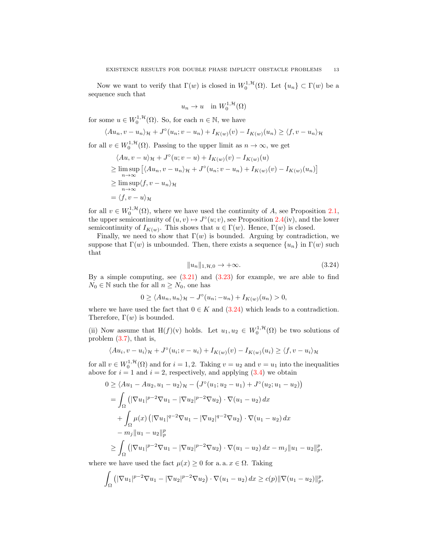Now we want to verify that  $\Gamma(w)$  is closed in  $W_0^{1, \mathcal{H}}(\Omega)$ . Let  $\{u_n\} \subset \Gamma(w)$  be a sequence such that

$$
u_n \to u \quad \text{in } W_0^{1, \mathcal{H}}(\Omega)
$$

for some  $u \in W_0^{1, \mathcal{H}}(\Omega)$ . So, for each  $n \in \mathbb{N}$ , we have

$$
\langle Au_n, v - u_n \rangle_{\mathcal{H}} + J^{\circ}(u_n; v - u_n) + I_{K(w)}(v) - I_{K(w)}(u_n) \ge \langle f, v - u_n \rangle_{\mathcal{H}}
$$

for all  $v \in W_0^{1,\mathcal{H}}(\Omega)$ . Passing to the upper limit as  $n \to \infty$ , we get

$$
\langle Au, v - u \rangle_{\mathcal{H}} + J^{\circ}(u; v - u) + I_{K(w)}(v) - I_{K(w)}(u)
$$
  
\n
$$
\geq \limsup_{n \to \infty} \left[ \langle Au_n, v - u_n \rangle_{\mathcal{H}} + J^{\circ}(u_n; v - u_n) + I_{K(w)}(v) - I_{K(w)}(u_n) \right]
$$
  
\n
$$
\geq \limsup_{n \to \infty} \langle f, v - u_n \rangle_{\mathcal{H}}
$$
  
\n
$$
= \langle f, v - u \rangle_{\mathcal{H}}
$$

for all  $v \in W_0^{1,\mathcal{H}}(\Omega)$ , where we have used the continuity of A, see Proposition [2.1,](#page-3-2) the upper semicontinuity of  $(u, v) \mapsto J^{\circ}(u; v)$ , see Proposition [2.4\(](#page-4-2)iv), and the lower semicontinuity of  $I_{K(w)}$ . This shows that  $u \in \Gamma(w)$ . Hence,  $\Gamma(w)$  is closed.

Finally, we need to show that  $\Gamma(w)$  is bounded. Arguing by contradiction, we suppose that  $\Gamma(w)$  is unbounded. Then, there exists a sequence  $\{u_n\}$  in  $\Gamma(w)$  such that

<span id="page-12-0"></span>
$$
||u_n||_{1,\mathcal{H},0} \to +\infty. \tag{3.24}
$$

p p ,

By a simple computing, see  $(3.21)$  and  $(3.23)$  for example, we are able to find  $N_0 \in \mathbb{N}$  such the for all  $n \geq N_0$ , one has

$$
0 \ge \langle Au_n, u_n \rangle_{\mathcal{H}} - J^{\circ}(u_n; -u_n) + I_{K(w)}(u_n) > 0,
$$

where we have used the fact that  $0 \in K$  and  $(3.24)$  which leads to a contradiction. Therefore,  $\Gamma(w)$  is bounded.

(ii) Now assume that H(f)(v) holds. Let  $u_1, u_2 \in W_0^{1, H}(\Omega)$  be two solutions of problem [\(3.7\)](#page-7-1), that is,

$$
\langle Au_i, v - u_i \rangle_{\mathcal{H}} + J^{\circ}(u_i; v - u_i) + I_{K(w)}(v) - I_{K(w)}(u_i) \ge \langle f, v - u_i \rangle_{\mathcal{H}}
$$

for all  $v \in W_0^{1, H}(\Omega)$  and for  $i = 1, 2$ . Taking  $v = u_2$  and  $v = u_1$  into the inequalities above for  $i = 1$  and  $i = 2$ , respectively, and applying  $(3.4)$  we obtain

$$
0 \ge \langle Au_1 - Au_2, u_1 - u_2 \rangle_{\mathcal{H}} - \left( J^{\circ}(u_1; u_2 - u_1) + J^{\circ}(u_2; u_1 - u_2) \right)
$$
  
= 
$$
\int_{\Omega} \left( |\nabla u_1|^{p-2} \nabla u_1 - |\nabla u_2|^{p-2} \nabla u_2 \right) \cdot \nabla (u_1 - u_2) dx
$$
  
+ 
$$
\int_{\Omega} \mu(x) \left( |\nabla u_1|^{q-2} \nabla u_1 - |\nabla u_2|^{q-2} \nabla u_2 \right) \cdot \nabla (u_1 - u_2) dx
$$
  
- 
$$
m_j ||u_1 - u_2||_p^p
$$
  

$$
\ge \int_{\Omega} \left( |\nabla u_1|^{p-2} \nabla u_1 - |\nabla u_2|^{p-2} \nabla u_2 \right) \cdot \nabla (u_1 - u_2) dx - m_j ||u_1 - u_2||
$$

where we have used the fact  $\mu(x) \geq 0$  for a. a.  $x \in \Omega$ . Taking

$$
\int_{\Omega} \left( |\nabla u_1|^{p-2} \nabla u_1 - |\nabla u_2|^{p-2} \nabla u_2 \right) \cdot \nabla (u_1 - u_2) \, dx \ge c(p) \|\nabla (u_1 - u_2)\|_p^p,
$$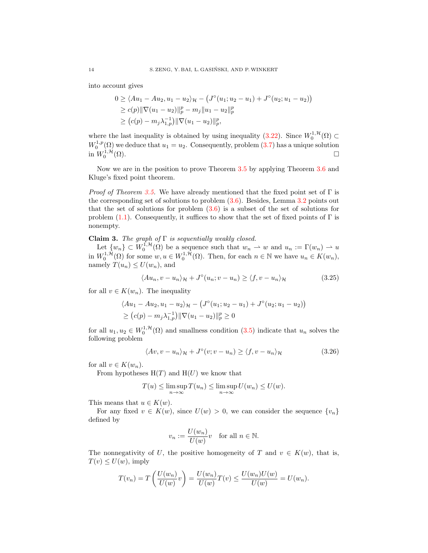into account gives

$$
0 \ge \langle Au_1 - Au_2, u_1 - u_2 \rangle_{\mathcal{H}} - \left( J^{\circ}(u_1; u_2 - u_1) + J^{\circ}(u_2; u_1 - u_2) \right) \ge c(p) \|\nabla (u_1 - u_2)\|_p^p - m_j \|u_1 - u_2\|_p^p \ge (c(p) - m_j \lambda_{1,p}^{-1}) \|\nabla (u_1 - u_2)\|_p^p,
$$

where the last inequality is obtained by using inequality [\(3.22\)](#page-11-3). Since  $W_0^{1, \mathcal{H}}(\Omega) \subset$ where the rast mequanty is obtained by using mequanty (3.22). Since  $W_0^{(32)} \nightharpoonup W_0^{1,p}(\Omega)$  we deduce that  $u_1 = u_2$ . Consequently, problem [\(3.7\)](#page-7-1) has a unique solution in  $W_0^{1,\mathcal{H}}(\Omega)$ .

Now we are in the position to prove Theorem [3.5](#page-7-2) by applying Theorem [3.6](#page-8-0) and Kluge's fixed point theorem.

*Proof of Theorem [3.5.](#page-7-2)* We have already mentioned that the fixed point set of  $\Gamma$  is the corresponding set of solutions to problem [\(3.6\)](#page-7-3). Besides, Lemma [3.2](#page-6-3) points out that the set of solutions for problem  $(3.6)$  is a subset of the set of solutions for problem [\(1.1\)](#page-0-0). Consequently, it suffices to show that the set of fixed points of  $\Gamma$  is nonempty.

## Claim 3. The graph of  $\Gamma$  is sequentially weakly closed.

Let  $\{w_n\} \subset W_0^{1,\mathcal{H}}(\Omega)$  be a sequence such that  $w_n \rightharpoonup w$  and  $u_n := \Gamma(w_n) \rightharpoonup u$ in  $W_0^{1,\mathcal{H}}(\Omega)$  for some  $w, u \in W_0^{1,\mathcal{H}}(\Omega)$ . Then, for each  $n \in \mathbb{N}$  we have  $u_n \in K(w_n)$ , namely  $T(u_n) \leq U(w_n)$ , and

<span id="page-13-1"></span>
$$
\langle Au_n, v - u_n \rangle_{\mathcal{H}} + J^{\circ}(u_n; v - u_n) \ge \langle f, v - u_n \rangle_{\mathcal{H}}
$$
\n(3.25)

for all  $v \in K(w_n)$ . The inequality

$$
\langle Au_1 - Au_2, u_1 - u_2 \rangle_{\mathcal{H}} - \left( J^{\circ}(u_1; u_2 - u_1) + J^{\circ}(u_2; u_1 - u_2) \right) \geq (c(p) - m_j \lambda_{1,p}^{-1}) \|\nabla (u_1 - u_2)\|_p^p \geq 0
$$

for all  $u_1, u_2 \in W_0^{1, \mathcal{H}}(\Omega)$  and smallness condition [\(3.5\)](#page-7-4) indicate that  $u_n$  solves the following problem

$$
\langle Av, v - u_n \rangle_{\mathcal{H}} + J^{\circ}(v; v - u_n) \ge \langle f, v - u_n \rangle_{\mathcal{H}}
$$
\n(3.26)

for all  $v \in K(w_n)$ .

From hypotheses  $H(T)$  and  $H(U)$  we know that

$$
T(u) \le \limsup_{n \to \infty} T(u_n) \le \limsup_{n \to \infty} U(w_n) \le U(w).
$$

This means that  $u \in K(w)$ .

For any fixed  $v \in K(w)$ , since  $U(w) > 0$ , we can consider the sequence  $\{v_n\}$ defined by

<span id="page-13-0"></span>
$$
v_n := \frac{U(w_n)}{U(w)} v \quad \text{for all } n \in \mathbb{N}.
$$

The nonnegativity of U, the positive homogeneity of T and  $v \in K(w)$ , that is,  $T(v) \leq U(w)$ , imply

$$
T(v_n) = T\left(\frac{U(w_n)}{U(w)}v\right) = \frac{U(w_n)}{U(w)}T(v) \le \frac{U(w_n)U(w)}{U(w)} = U(w_n).
$$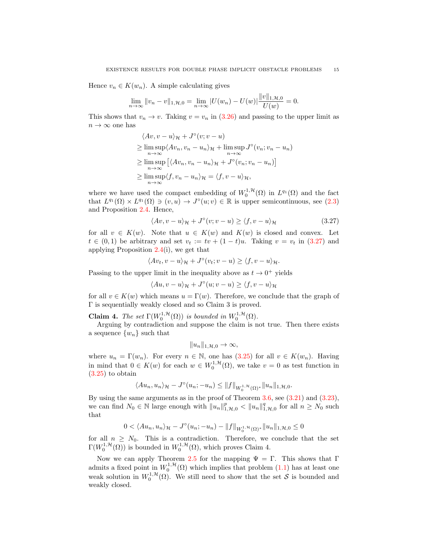Hence  $v_n \in K(w_n)$ . A simple calculating gives

$$
\lim_{n \to \infty} ||v_n - v||_{1, \mathcal{H}, 0} = \lim_{n \to \infty} |U(w_n) - U(w)| \frac{||v||_{1, \mathcal{H}, 0}}{U(w)} = 0.
$$

This shows that  $v_n \to v$ . Taking  $v = v_n$  in [\(3.26\)](#page-13-0) and passing to the upper limit as  $n \to \infty$  one has

$$
\langle Av, v - u \rangle_{\mathcal{H}} + J^{\circ}(v; v - u)
$$
  
\n
$$
\geq \limsup_{n \to \infty} \langle Av_n, v_n - u_n \rangle_{\mathcal{H}} + \limsup_{n \to \infty} J^{\circ}(v_n; v_n - u_n)
$$
  
\n
$$
\geq \limsup_{n \to \infty} \left[ \langle Av_n, v_n - u_n \rangle_{\mathcal{H}} + J^{\circ}(v_n; v_n - u_n) \right]
$$
  
\n
$$
\geq \limsup_{n \to \infty} \langle f, v_n - u_n \rangle_{\mathcal{H}} = \langle f, v - u \rangle_{\mathcal{H}},
$$

where we have used the compact embedding of  $W_0^{1,\mathcal{H}}(\Omega)$  in  $L^{q_1}(\Omega)$  and the fact that  $L^{q_1}(\Omega) \times L^{q_1}(\Omega) \ni (v, u) \to J^{\circ}(u; v) \in \mathbb{R}$  is upper semicontinuous, see [\(2.3\)](#page-3-3) and Proposition [2.4.](#page-4-2) Hence,

<span id="page-14-0"></span>
$$
\langle Av, v - u \rangle_{\mathcal{H}} + J^{\circ}(v; v - u) \ge \langle f, v - u \rangle_{\mathcal{H}}
$$
\n(3.27)

for all  $v \in K(w)$ . Note that  $u \in K(w)$  and  $K(w)$  is closed and convex. Let  $t \in (0,1)$  be arbitrary and set  $v_t := tv + (1-t)u$ . Taking  $v = v_t$  in [\(3.27\)](#page-14-0) and applying Proposition [2.4\(](#page-4-2)i), we get that

$$
\langle Av_t, v - u \rangle_{\mathcal{H}} + J^{\circ}(v_t; v - u) \ge \langle f, v - u \rangle_{\mathcal{H}}.
$$

Passing to the upper limit in the inequality above as  $t \to 0^+$  yields

$$
\langle Au, v - u \rangle_{\mathcal{H}} + J^{\circ}(u; v - u) \ge \langle f, v - u \rangle_{\mathcal{H}}
$$

for all  $v \in K(w)$  which means  $u = \Gamma(w)$ . Therefore, we conclude that the graph of Γ is sequentially weakly closed and so Claim 3 is proved.

**Claim 4.** The set  $\Gamma(W_0^{1,\mathcal{H}}(\Omega))$  is bounded in  $W_0^{1,\mathcal{H}}(\Omega)$ .

Arguing by contradiction and suppose the claim is not true. Then there exists a sequence  $\{w_n\}$  such that

$$
||u_n||_{1,\mathcal{H},0} \to \infty,
$$

where  $u_n = \Gamma(w_n)$ . For every  $n \in \mathbb{N}$ , one has [\(3.25\)](#page-13-1) for all  $v \in K(w_n)$ . Having in mind that  $0 \in K(w)$  for each  $w \in W_0^{1,\mathcal{H}}(\Omega)$ , we take  $v = 0$  as test function in  $(3.25)$  to obtain

$$
\langle Au_n, u_n \rangle_{\mathcal{H}} - J^{\circ}(u_n; -u_n) \leq ||f||_{W_0^{1, \mathcal{H}}(\Omega)^*} ||u_n||_{1, \mathcal{H}, 0}.
$$

By using the same arguments as in the proof of Theorem [3.6,](#page-8-0) see [\(3.21\)](#page-11-1) and [\(3.23\)](#page-11-2), we can find  $N_0 \in \mathbb{N}$  large enough with  $||u_n||_{1,\mathcal{H},0}^p < ||u_n||_{1,\mathcal{H},0}^q$  for all  $n \geq N_0$  such that

$$
0 < \langle Au_n, u_n \rangle_{\mathcal{H}} - J^{\circ}(u_n; -u_n) - ||f||_{W_0^{1, \mathcal{H}}(\Omega)^*} ||u_n||_{1, \mathcal{H}, 0} \leq 0
$$

for all  $n \geq N_0$ . This is a contradiction. Therefore, we conclude that the set  $\Gamma(W_0^{1,\mathcal{H}}(\Omega))$  is bounded in  $W_0^{1,\mathcal{H}}(\Omega)$ , which proves Claim 4.

Now we can apply Theorem [2.5](#page-4-0) for the mapping  $\Psi = \Gamma$ . This shows that Γ admits a fixed point in  $W_0^{1, H}(\Omega)$  which implies that problem  $(1.1)$  has at least one weak solution in  $W_0^{1,\mathcal{H}}(\Omega)$ . We still need to show that the set S is bounded and weakly closed.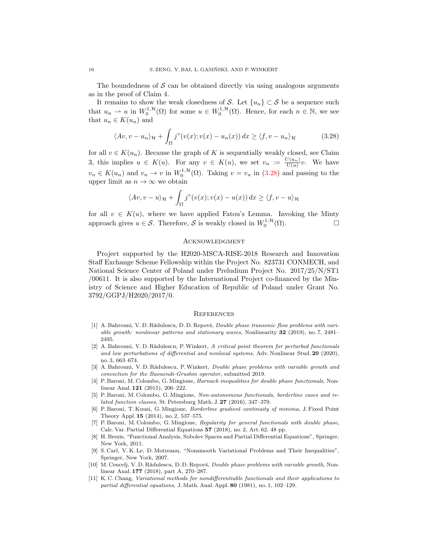The boundedness of  $\mathcal S$  can be obtained directly via using analogous arguments as in the proof of Claim 4.

It remains to show the weak closedness of S. Let  $\{u_n\} \subset S$  be a sequence such that  $u_n \rightharpoonup u$  in  $W_0^{1,\mathcal{H}}(\Omega)$  for some  $u \in W_0^{1,\mathcal{H}}(\Omega)$ . Hence, for each  $n \in \mathbb{N}$ , we see that  $u_n \in K(u_n)$  and

$$
\langle Av, v - u_n \rangle_{\mathcal{H}} + \int_{\Omega} j^{\circ}(v(x); v(x) - u_n(x)) dx \ge \langle f, v - u_n \rangle_{\mathcal{H}}
$$
 (3.28)

for all  $v \in K(u_n)$ . Because the graph of K is sequentially weakly closed, see Claim 3, this implies  $u \in K(u)$ . For any  $v \in K(u)$ , we set  $v_n := \frac{U(u_n)}{U(u)}v$ . We have  $v_n \in K(u_n)$  and  $v_n \to v$  in  $W_0^{1,\mathcal{H}}(\Omega)$ . Taking  $v = v_n$  in [\(3.28\)](#page-15-11) and passing to the upper limit as  $n \to \infty$  we obtain

$$
\langle Av, v - u \rangle_{\mathcal{H}} + \int_{\Omega} j^{\circ}(v(x); v(x) - u(x)) dx \ge \langle f, v - u \rangle_{\mathcal{H}}
$$

for all  $v \in K(u)$ , where we have applied Fatou's Lemma. Invoking the Minty approach gives  $u \in \mathcal{S}$ . Therefore,  $\mathcal{S}$  is weakly closed in  $W_0^{1, \mathcal{H}}(\Omega)$ .

#### <span id="page-15-11"></span>**ACKNOWLEDGMENT**

Project supported by the H2020-MSCA-RISE-2018 Research and Innovation Staff Exchange Scheme Fellowship within the Project No. 823731 CONMECH, and National Science Center of Poland under Preludium Project No. 2017/25/N/ST1 /00611. It is also supported by the International Project co-financed by the Ministry of Science and Higher Education of Republic of Poland under Grant No. 3792/GGPJ/H2020/2017/0.

#### **REFERENCES**

- <span id="page-15-4"></span>[1] A. Bahrouni, V. D. Rădulescu, D. D. Repovš, *Double phase transonic flow problems with vari*able growth: nonlinear patterns and stationary waves, Nonlinearity 32 (2019), no. 7, 2481– 2495.
- <span id="page-15-5"></span>[2] A. Bahrouni, V. D. Rădulescu, P. Winkert, A critical point theorem for perturbed functionals and low perturbations of differential and nonlocal systems, Adv. Nonlinear Stud. 20 (2020), no. 3, 663–674.
- <span id="page-15-6"></span>[3] A. Bahrouni, V. D. Rădulescu, P. Winkert, *Double phase problems with variable growth and* convection for the Baouendi-Grushin operator, submitted 2019.
- <span id="page-15-0"></span>[4] P. Baroni, M. Colombo, G. Mingione, Harnack inequalities for double phase functionals, Nonlinear Anal. 121 (2015), 206–222.
- <span id="page-15-1"></span>[5] P. Baroni, M. Colombo, G. Mingione, Non-autonomous functionals, borderline cases and related function classes, St. Petersburg Math. J. 27 (2016), 347–379.
- <span id="page-15-3"></span>[6] P. Baroni, T. Kuusi, G. Mingione, Borderline gradient continuity of minima, J. Fixed Point Theory Appl. 15 (2014), no. 2, 537–575.
- <span id="page-15-2"></span>[7] P. Baroni, M. Colombo, G. Mingione, Regularity for general functionals with double phase, Calc. Var. Partial Differential Equations 57 (2018), no. 2, Art. 62, 48 pp.
- <span id="page-15-10"></span>[8] H. Brezis, "Functional Analysis, Sobolev Spaces and Partial Differential Equations", Springer, New York, 2011.
- <span id="page-15-7"></span>[9] S. Carl, V. K. Le, D. Motreanu, "Nonsmooth Variational Problems and Their Inequalities", Springer, New York, 2007.
- <span id="page-15-8"></span>[10] M. Cencelj, V. D. Rădulescu, D. D. Repovš, *Double phase problems with variable growth*, Nonlinear Anal. 177 (2018), part A, 270–287.
- <span id="page-15-9"></span>[11] K. C. Chang, Variational methods for nondifferentiable functionals and their applications to partial differential equations, J. Math. Anal. Appl. 80 (1981), no. 1, 102–129.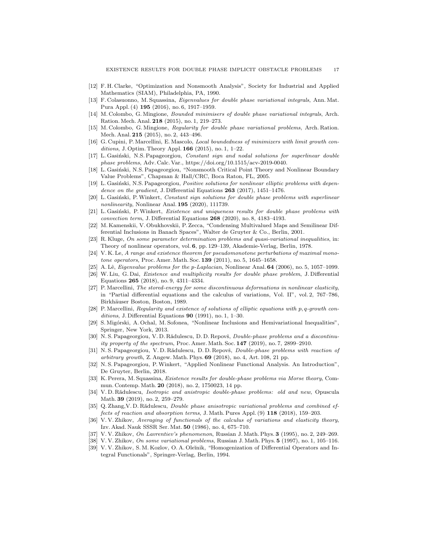- <span id="page-16-16"></span>[12] F. H. Clarke, "Optimization and Nonsmooth Analysis", Society for Industrial and Applied Mathematics (SIAM), Philadelphia, PA, 1990.
- <span id="page-16-10"></span>[13] F. Colasuonno, M. Squassina, Eigenvalues for double phase variational integrals, Ann. Mat. Pura Appl. (4) 195 (2016), no. 6, 1917–1959.
- <span id="page-16-6"></span>[14] M. Colombo, G. Mingione, Bounded minimisers of double phase variational integrals, Arch. Ration. Mech. Anal. 218 (2015), no. 1, 219–273.
- <span id="page-16-7"></span>[15] M. Colombo, G. Mingione, Regularity for double phase variational problems, Arch. Ration. Mech. Anal. 215 (2015), no. 2, 443–496.
- <span id="page-16-5"></span>[16] G. Cupini, P. Marcellini, E. Mascolo, *Local boundedness of minimizers with limit growth con*ditions, J. Optim. Theory Appl. 166 (2015), no. 1, 1–22.
- <span id="page-16-11"></span>[17] L. Gasiński, N.S. Papageorgiou, Constant sign and nodal solutions for superlinear double phase problems, Adv. Calc. Var., https://doi.org/10.1515/acv-2019-0040.
- <span id="page-16-17"></span>[18] L. Gasiński, N.S. Papageorgiou, "Nonsmooth Critical Point Theory and Nonlinear Boundary Value Problems", Chapman & Hall/CRC, Boca Raton, FL, 2005.
- <span id="page-16-18"></span>[19] L. Gasiński, N.S. Papageorgiou, Positive solutions for nonlinear elliptic problems with dependence on the gradient, J. Differential Equations 263 (2017), 1451–1476.
- <span id="page-16-12"></span>[20] L. Gasiński, P. Winkert, Constant sign solutions for double phase problems with superlinear nonlinearity, Nonlinear Anal. 195 (2020), 111739.
- <span id="page-16-13"></span>[21] L. Gasiński, P. Winkert, Existence and uniqueness results for double phase problems with convection term, J. Differential Equations 268 (2020), no. 8, 4183–4193.
- <span id="page-16-27"></span>[22] M. Kamenskii, V. Obukhovskii, P. Zecca, "Condensing Multivalued Maps and Semilinear Differential Inclusions in Banach Spaces", Walter de Gruyter & Co., Berlin, 2001.
- <span id="page-16-25"></span>[23] R. Kluge, On some parameter determination problems and quasi-variational inequalities, in: Theory of nonlinear operators, vol. 6, pp. 129–139, Akademie-Verlag, Berlin, 1978.
- <span id="page-16-0"></span>[24] V. K. Le, A range and existence theorem for pseudomonotone perturbations of maximal monotone operators, Proc. Amer. Math. Soc. 139 (2011), no. 5, 1645–1658.
- <span id="page-16-23"></span>[25] A. Lê, *Eigenvalue problems for the p-Laplacian*, Nonlinear Anal. **64** (2006), no. 5, 1057–1099.
- <span id="page-16-14"></span>[26] W. Liu, G. Dai, Existence and multiplicity results for double phase problem, J. Differential Equations 265 (2018), no. 9, 4311–4334.
- <span id="page-16-8"></span>[27] P. Marcellini, The stored-energy for some discontinuous deformations in nonlinear elasticity, in "Partial differential equations and the calculus of variations, Vol. II", vol. 2, 767–786, Birkhäuser Boston, Boston, 1989.
- <span id="page-16-9"></span>[28] P. Marcellini, Regularity and existence of solutions of elliptic equations with p, q-growth conditions, J. Differential Equations  $90$  (1991), no. 1, 1–30.
- <span id="page-16-24"></span>[29] S. Migórski, A. Ochal, M. Sofonea, "Nonlinear Inclusions and Hemivariational Inequalities", Springer, New York, 2013.
- <span id="page-16-19"></span>[30] N. S. Papageorgiou, V. D. Rădulescu, D. D. Repovš, *Double-phase problems and a discontinu*ity property of the spectrum, Proc. Amer. Math. Soc. 147 (2019), no. 7, 2899–2910.
- <span id="page-16-20"></span>[31] N. S. Papageorgiou, V. D. Rădulescu, D. D. Repovš, Double-phase problems with reaction of  $arbitrary growth$ , Z. Angew. Math. Phys.  $69$  (2018), no. 4, Art. 108, 21 pp.
- <span id="page-16-26"></span>[32] N. S. Papageorgiou, P.Winkert, "Applied Nonlinear Functional Analysis. An Introduction", De Gruyter, Berlin, 2018.
- <span id="page-16-15"></span>[33] K. Perera, M. Squassina, Existence results for double-phase problems via Morse theory, Commun. Contemp. Math. 20 (2018), no. 2, 1750023, 14 pp.
- <span id="page-16-21"></span>[34] V.D. Rădulescu, Isotropic and anistropic double-phase problems: old and new, Opuscula Math. 39 (2019), no. 2, 259–279.
- <span id="page-16-22"></span>[35] Q. Zhang, V. D. Rădulescu, *Double phase anisotropic variational problems and combined ef*fects of reaction and absorption terms, J. Math. Pures Appl. (9) 118 (2018), 159–203.
- <span id="page-16-1"></span>[36] V. V. Zhikov, Averaging of functionals of the calculus of variations and elasticity theory, Izv. Akad. Nauk SSSR Ser. Mat. 50 (1986), no. 4, 675–710.
- <span id="page-16-2"></span>[37] V. V. Zhikov, On Lavrentiev's phenomenon, Russian J. Math. Phys. 3 (1995), no. 2, 249–269.
- <span id="page-16-3"></span>[38] V. V. Zhikov, On some variational problems, Russian J. Math. Phys. 5 (1997), no. 1, 105–116.
- <span id="page-16-4"></span>[39] V. V. Zhikov, S. M. Kozlov, O. A. Oleĭnik, "Homogenization of Differential Operators and Integral Functionals", Springer-Verlag, Berlin, 1994.